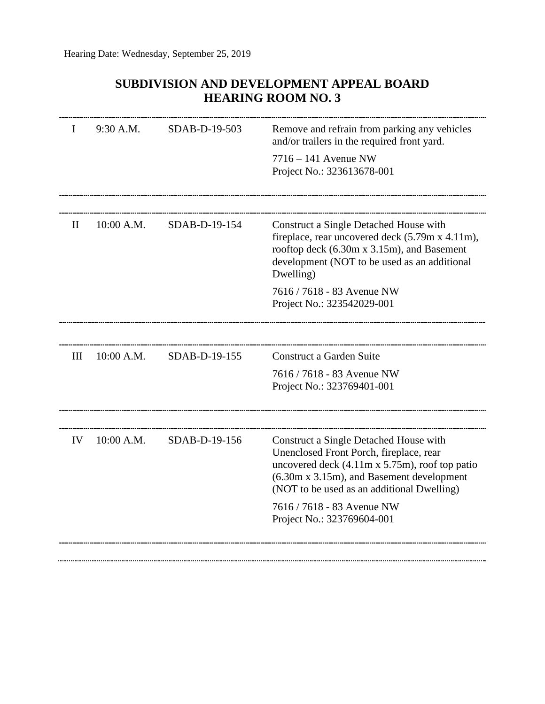## **SUBDIVISION AND DEVELOPMENT APPEAL BOARD HEARING ROOM NO. 3**

| L  | 9:30 A.M.  | SDAB-D-19-503 | Remove and refrain from parking any vehicles<br>and/or trailers in the required front yard.<br>$7716 - 141$ Avenue NW<br>Project No.: 323613678-001                                                                                    |
|----|------------|---------------|----------------------------------------------------------------------------------------------------------------------------------------------------------------------------------------------------------------------------------------|
|    |            |               |                                                                                                                                                                                                                                        |
| H  | 10:00 A.M. | SDAB-D-19-154 | Construct a Single Detached House with<br>fireplace, rear uncovered deck (5.79m x 4.11m),<br>rooftop deck (6.30m x 3.15m), and Basement<br>development (NOT to be used as an additional<br>Dwelling)                                   |
|    |            |               | 7616 / 7618 - 83 Avenue NW<br>Project No.: 323542029-001                                                                                                                                                                               |
|    |            |               |                                                                                                                                                                                                                                        |
| Ш  | 10:00 A.M. | SDAB-D-19-155 | Construct a Garden Suite                                                                                                                                                                                                               |
|    |            |               | 7616 / 7618 - 83 Avenue NW<br>Project No.: 323769401-001                                                                                                                                                                               |
|    |            |               |                                                                                                                                                                                                                                        |
| IV | 10:00 A.M. | SDAB-D-19-156 | Construct a Single Detached House with<br>Unenclosed Front Porch, fireplace, rear<br>uncovered deck $(4.11m \times 5.75m)$ , roof top patio<br>(6.30m x 3.15m), and Basement development<br>(NOT to be used as an additional Dwelling) |
|    |            |               | 7616 / 7618 - 83 Avenue NW<br>Project No.: 323769604-001                                                                                                                                                                               |
|    |            |               |                                                                                                                                                                                                                                        |